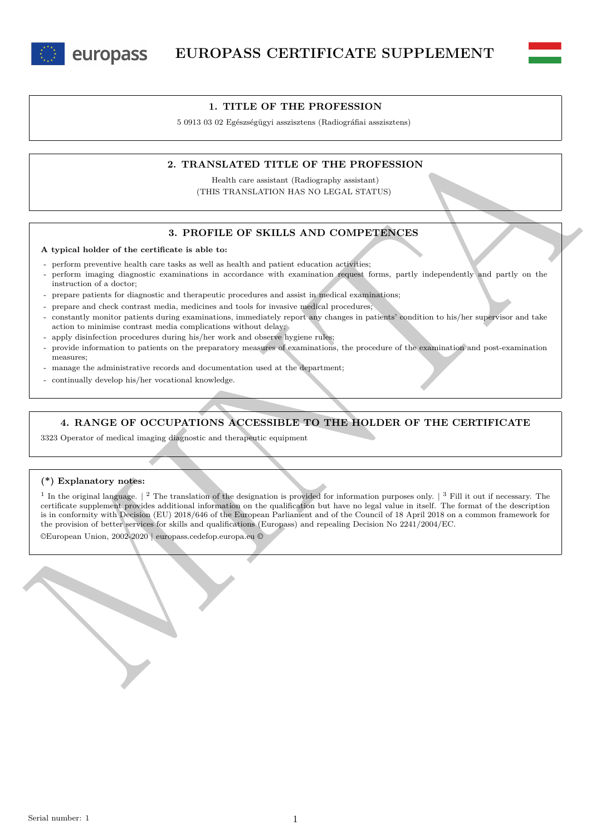



### **1. TITLE OF THE PROFESSION**

5 0913 03 02 Egészségügyi asszisztens (Radiográfiai asszisztens)

## **2. TRANSLATED TITLE OF THE PROFESSION**

Health care assistant (Radiography assistant) (THIS TRANSLATION HAS NO LEGAL STATUS)

## **3. PROFILE OF SKILLS AND COMPETENCES**

#### **A typical holder of the certificate is able to:**

- perform preventive health care tasks as well as health and patient education activities;
- perform imaging diagnostic examinations in accordance with examination request forms, partly independently and partly on the instruction of a doctor;
- prepare patients for diagnostic and therapeutic procedures and assist in medical examinations;
- prepare and check contrast media, medicines and tools for invasive medical procedures;
- constantly monitor patients during examinations, immediately report any changes in patients' condition to his/her supervisor and take action to minimise contrast media complications without delay;
- apply disinfection procedures during his/her work and observe hygiene rules;
- provide information to patients on the preparatory measures of examinations, the procedure of the examination and post-examination measures;
- manage the administrative records and documentation used at the department;
- continually develop his/her vocational knowledge.

## **4. RANGE OF OCCUPATIONS ACCESSIBLE TO THE HOLDER OF THE CERTIFICATE**

3323 Operator of medical imaging diagnostic and therapeutic equipment

### **(\*) Explanatory notes:**

2. TRAINSLATED TITLE OF THE PROFESSION<br>
THE TRANSLATED TITLE OF THE PROFESSION<br>
(THE TRANSLATED TITLE OF THE PROFESSION<br>
(THE TRANSLATED TITLE OF THE PROFESSION)<br>
2. FRONTLE OF SKILLS AND COMPETENCES<br>
4. Syphon lander of <sup>1</sup> In the original language.  $\vert$  <sup>2</sup> The translation of the designation is provided for information purposes only.  $\vert$  <sup>3</sup> Fill it out if necessary. The certificate supplement provides additional information on the qualification but have no legal value in itself. The format of the description is in conformity with Decision (EU) 2018/646 of the European Parliament and of the Council of 18 April 2018 on a common framework for the provision of better services for skills and qualifications (Europass) and repealing Decision No 2241/2004/EC.

©European Union, 2002-2020 | europass.cedefop.europa.eu ©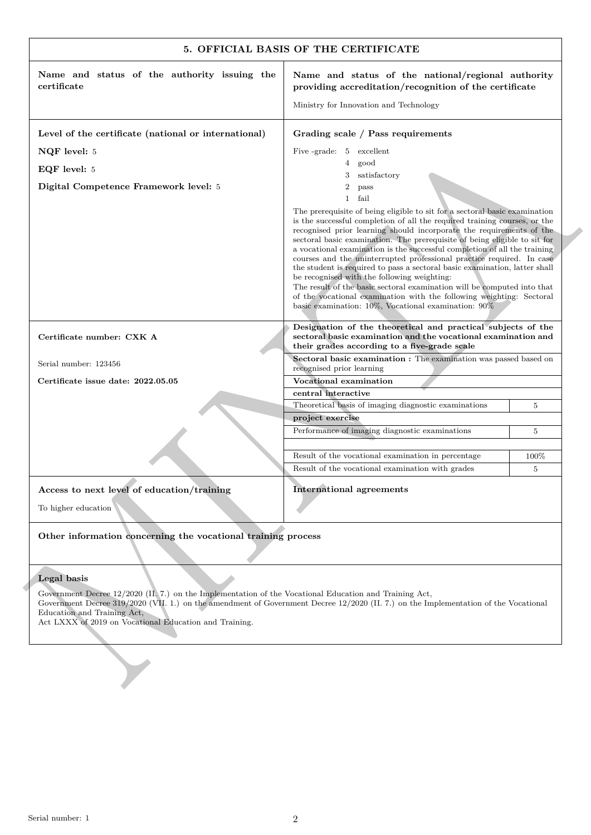| Name and status of the authority issuing the<br>certificate                                                                                                                                                                                                                                                                            | Name and status of the national/regional authority                                                                                                                                                                                                                                                                                                                                                                                                                                                                                                                                                                                                                                                                                                                                                               |      |
|----------------------------------------------------------------------------------------------------------------------------------------------------------------------------------------------------------------------------------------------------------------------------------------------------------------------------------------|------------------------------------------------------------------------------------------------------------------------------------------------------------------------------------------------------------------------------------------------------------------------------------------------------------------------------------------------------------------------------------------------------------------------------------------------------------------------------------------------------------------------------------------------------------------------------------------------------------------------------------------------------------------------------------------------------------------------------------------------------------------------------------------------------------------|------|
|                                                                                                                                                                                                                                                                                                                                        | providing accreditation/recognition of the certificate                                                                                                                                                                                                                                                                                                                                                                                                                                                                                                                                                                                                                                                                                                                                                           |      |
|                                                                                                                                                                                                                                                                                                                                        | Ministry for Innovation and Technology                                                                                                                                                                                                                                                                                                                                                                                                                                                                                                                                                                                                                                                                                                                                                                           |      |
| Level of the certificate (national or international)                                                                                                                                                                                                                                                                                   | Grading scale / Pass requirements                                                                                                                                                                                                                                                                                                                                                                                                                                                                                                                                                                                                                                                                                                                                                                                |      |
| NQF level: 5                                                                                                                                                                                                                                                                                                                           | Five -grade: 5 excellent                                                                                                                                                                                                                                                                                                                                                                                                                                                                                                                                                                                                                                                                                                                                                                                         |      |
| EQF level: 5                                                                                                                                                                                                                                                                                                                           | $4\overline{ }$<br>good                                                                                                                                                                                                                                                                                                                                                                                                                                                                                                                                                                                                                                                                                                                                                                                          |      |
| Digital Competence Framework level: 5                                                                                                                                                                                                                                                                                                  | satisfactory<br>3<br>$\overline{2}$<br>pass                                                                                                                                                                                                                                                                                                                                                                                                                                                                                                                                                                                                                                                                                                                                                                      |      |
|                                                                                                                                                                                                                                                                                                                                        | $\mathbf{1}$<br>fail                                                                                                                                                                                                                                                                                                                                                                                                                                                                                                                                                                                                                                                                                                                                                                                             |      |
|                                                                                                                                                                                                                                                                                                                                        | The prerequisite of being eligible to sit for a sectoral basic examination<br>is the successful completion of all the required training courses, or the<br>recognised prior learning should incorporate the requirements of the<br>sectoral basic examination. The prerequisite of being eligible to sit for<br>a vocational examination is the successful completion of all the training<br>courses and the uninterrupted professional practice required. In case<br>the student is required to pass a sectoral basic examination, latter shall<br>be recognised with the following weighting:<br>The result of the basic sectoral examination will be computed into that<br>of the vocational examination with the following weighting: Sectoral<br>basic examination: $10\%$ , Vocational examination: $90\%$ |      |
| Certificate number: CXK A                                                                                                                                                                                                                                                                                                              | Designation of the theoretical and practical subjects of the<br>sectoral basic examination and the vocational examination and<br>their grades according to a five-grade scale                                                                                                                                                                                                                                                                                                                                                                                                                                                                                                                                                                                                                                    |      |
| Serial number: 123456                                                                                                                                                                                                                                                                                                                  | Sectoral basic examination : The examination was passed based on<br>recognised prior learning                                                                                                                                                                                                                                                                                                                                                                                                                                                                                                                                                                                                                                                                                                                    |      |
| Certificate issue date: 2022.05.05                                                                                                                                                                                                                                                                                                     | Vocational examination                                                                                                                                                                                                                                                                                                                                                                                                                                                                                                                                                                                                                                                                                                                                                                                           |      |
|                                                                                                                                                                                                                                                                                                                                        | central interactive                                                                                                                                                                                                                                                                                                                                                                                                                                                                                                                                                                                                                                                                                                                                                                                              |      |
|                                                                                                                                                                                                                                                                                                                                        | Theoretical basis of imaging diagnostic examinations<br>project exercise                                                                                                                                                                                                                                                                                                                                                                                                                                                                                                                                                                                                                                                                                                                                         | 5    |
|                                                                                                                                                                                                                                                                                                                                        | Performance of imaging diagnostic examinations                                                                                                                                                                                                                                                                                                                                                                                                                                                                                                                                                                                                                                                                                                                                                                   | 5    |
|                                                                                                                                                                                                                                                                                                                                        |                                                                                                                                                                                                                                                                                                                                                                                                                                                                                                                                                                                                                                                                                                                                                                                                                  |      |
|                                                                                                                                                                                                                                                                                                                                        | Result of the vocational examination in percentage                                                                                                                                                                                                                                                                                                                                                                                                                                                                                                                                                                                                                                                                                                                                                               | 100% |
|                                                                                                                                                                                                                                                                                                                                        | Result of the vocational examination with grades                                                                                                                                                                                                                                                                                                                                                                                                                                                                                                                                                                                                                                                                                                                                                                 | 5    |
| Access to next level of education/training                                                                                                                                                                                                                                                                                             | <b>International agreements</b>                                                                                                                                                                                                                                                                                                                                                                                                                                                                                                                                                                                                                                                                                                                                                                                  |      |
|                                                                                                                                                                                                                                                                                                                                        |                                                                                                                                                                                                                                                                                                                                                                                                                                                                                                                                                                                                                                                                                                                                                                                                                  |      |
| To higher education<br>Other information concerning the vocational training process                                                                                                                                                                                                                                                    |                                                                                                                                                                                                                                                                                                                                                                                                                                                                                                                                                                                                                                                                                                                                                                                                                  |      |
| Legal basis                                                                                                                                                                                                                                                                                                                            |                                                                                                                                                                                                                                                                                                                                                                                                                                                                                                                                                                                                                                                                                                                                                                                                                  |      |
| Government Decree 12/2020 (II. 7.) on the Implementation of the Vocational Education and Training Act,<br>Government Decree 319/2020 (VII. 1.) on the amendment of Government Decree 12/2020 (II. 7.) on the Implementation of the Vocational<br>Education and Training Act,<br>Act LXXX of 2019 on Vocational Education and Training. |                                                                                                                                                                                                                                                                                                                                                                                                                                                                                                                                                                                                                                                                                                                                                                                                                  |      |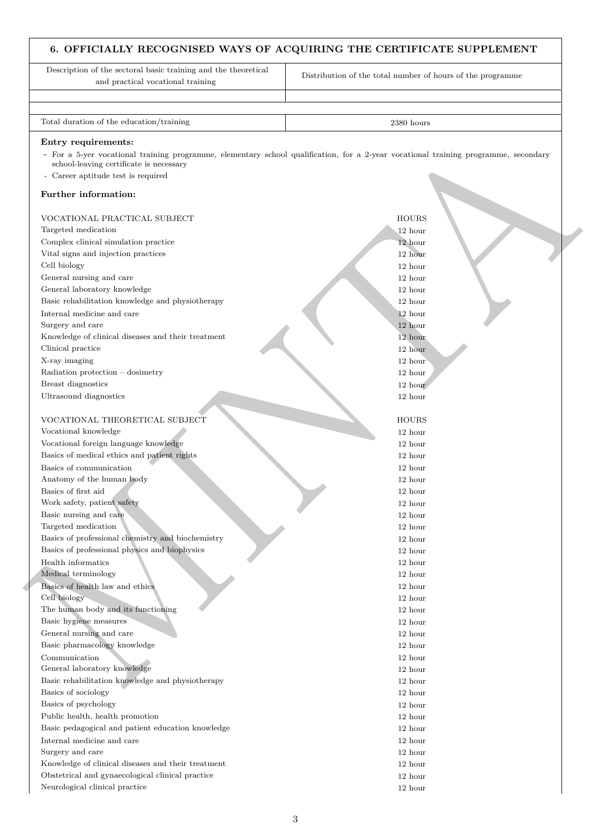# **6. OFFICIALLY RECOGNISED WAYS OF ACQUIRING THE CERTIFICATE SUPPLEMENT**

Endry recent<br>
Convergence of the regard of the regard of the convergence of the convergence of the regard<br>
Convergence of the regard Party of the regard Party of the regard<br>
Party control (Convergence) and the regard of t Description of the sectoral basic training and the theoretical and practical vocational training Distribution of the total number of hours of the programme Total duration of the education/training 2380 hours 2380 hours **Entry requirements:** - For a 5-yer vocational training programme, elementary school qualification, for a 2-year vocational training programme, secondary school-leaving certificate is necessary Career aptitude test is required **Further information:** VOCATIONAL PRACTICAL SUBJECT HOURS AND LOURS HOURS AND LOURS AND LOURS AND LOURS AND LOURS AND LOURS AND LOURS AND LOURS AND LOURS AND LOURS AND LOURS AND LOURS AND LOURS AND LOURS AND LOURS AND LOURS AND LOURS AND LOURS A Targeted medication 12 hours and 12 hours and 12 hours and 12 hours and 12 hours and 12 hours and 12 hours and 12 hours and 12 hours and 12 hours and 12 hours and 12 hours and 12 hours and 12 hours and 12 hours and 12 hour Complex clinical simulation practice 12 hours and 12 hours and 12 hours and 12 hours and 12 hours and 12 hours and 12 hours and 12 hours and 12 hours and 12 hours and 12 hours and 12 hours and 12 hours and 12 hours and 12 Vital signs and injection practices 12 hours and 12 hours and 12 hours and 12 hours and 12 hours and 12 hours and 12 hours and 12 hours and 12 hours and 12 hours and 12 hours and 12 hours and 12 hours and 12 hours and 12 h Cell biology 12 hour General nursing and care 12 hours and care 12 hours and care 12 hours and care 12 hours and care 12 hours and care 12 hours and care 12 hours and care 12 hours and care 12 hours and care 12 hours and care 12 hours and care General laboratory knowledge 12 hours and 12 hours and 12 hours and 12 hours and 12 hours and 12 hours and 12 hours and 12 hours and 12 hours and 12 hours and 12 hours and 12 hours and 12 hours and 12 hours and 12 hours an Basic rehabilitation knowledge and physiotherapy 12 hours 12 hours 12 hours 12 hours 12 hours 12 hours 12 hours 12 hours 12 hours 12 hours 12 hours 12 hours 12 hours 12 hours 12 hours 12 hours 12 hours 12 hours 12 hours 12 Internal medicine and care 12 hours and 12 hours and 12 hours and 12 hours and 12 hours and 12 hours and 12 hours and 12 hours and 12 hours and 12 hours and 12 hours and 12 hours and 12 hours and 12 hours and 12 hours and Surgery and care 12 hours and 12 hours and 12 hours and 12 hours and 12 hours and 12 hours and 12 hours and 12 hours and 12 hours and 12 hours and 12 hours and 12 hours and 12 hours and 12 hours and 12 hours and 12 hours a Knowledge of clinical diseases and their treatment 12 hour 12 hour 12 hour Clinical practice 12 hours and 12 hours and 12 hours and 12 hours and 12 hours and 12 hours and 12 hours and 12 hours and 12 hours and 12 hours and 12 hours and 12 hours and 12 hours and 12 hours and 12 hours and 12 hours X-ray imaging 12 hour two states of the states of the states of the states of the states of the states of the states of the states of the states of the states of the states of the states of the states of the states of the Radiation protection – dosimetry 12 hours and 12 hours and 12 hours and 12 hours and 12 hours and 12 hours and 12 hours and 12 hours and 12 hours and 12 hours and 12 hours and 12 hours and 12 hours and 12 hours and 12 hour Breast diagnostics 12 hour contracts 12 hour contracts 12 hour contracts 12 hour contracts 12 hour contracts 12 hour Ultrasound diagnostics 12 hours and 12 hours and 12 hours and 12 hours and 12 hours and 12 hours and 12 hours and 12 hours and 12 hours and 12 hours and 12 hours and 12 hours and 12 hours and 12 hours and 12 hours and 12 h VOCATIONAL THEORETICAL SUBJECT HOURS AND RESERVE HOURS AND RESERVE HOURS AND RESERVE HOURS AND RESERVE HOURS AND RESERVE HOURS AND RESERVE HOURS AND RESERVE HOURS AND RESERVE HOURS AND RESERVE HOURS AND RESERVE HOURS AND R Vocational knowledge 12 hour Vocational foreign language knowledge 12 hours and 12 hours and 12 hours and 12 hours and 12 hours and 12 hours and 12 hours and 12 hours and 12 hours and 12 hours and 12 hours and 12 hours and 12 hours and 12 hours and 12 Basics of medical ethics and patient rights 12 hours 12 hours 12 hours 12 hours 12 hours 12 hours 12 hours 12 hours 12 hours 12 hours 12 hours 12 hours 12 hours 12 hours 12 hours 12 hours 12 hours 12 hours 12 hours 12 hour Basics of communication 12 hours and 12 hours and 12 hours and 12 hours and 12 hours and 12 hours and 12 hours and 12 hours and 12 hours and 12 hours and 12 hours and 12 hours and 12 hours and 12 hours and 12 hours and 12 Anatomy of the human body 12 hours and 12 hours and 12 hours and 12 hours and 12 hours and 12 hours and 12 hours and 12 hours and 12 hours and 12 hours and 12 hours and 12 hours and 12 hours and 12 hours and 12 hours and 1 Basics of first aid 12 hours and 12 hours and 12 hours and 12 hours and 12 hours and 12 hours and 12 hours and 12 hours and 12 hours and 12 hours and 12 hours and 12 hours and 12 hours and 12 hours and 12 hours and 12 hour Work safety, patient safety 12 hours at 12 hours and 12 hours at 12 hours and 12 hours at 12 hours and 12 hours at 12 hours and 12 hours at 12 hours and 12 hours at 12 hours and 12 hours at 12 hours and 12 hours at 12 hour Basic nursing and care 12 hours and care 12 hours and care 12 hours and care 12 hours and care 12 hours and care 12 hours and care 12 hours and care 12 hours and care 12 hours and care 12 hours and care 12 hours and care 1 Targeted medication 12 hours and 12 hours and 12 hours and 12 hours and 12 hours and 12 hours and 12 hours and 12 hours and 12 hours and 12 hours and 12 hours and 12 hours and 12 hours and 12 hours and 12 hours and 12 hour Basics of professional chemistry and biochemistry 12 hour Basics of professional physics and biophysics 12 hour 12 hour Health informatics 12 hour Medical terminology 12 hours and 12 hours and 12 hours and 12 hours and 12 hours and 12 hours and 12 hours and 12 hours and 12 hours and 12 hours and 12 hours and 12 hours and 12 hours and 12 hours and 12 hours and 12 hour Basics of health law and ethics 12 hours and the set of the set of the set of the set of the set of the set of the set of the set of the set of the set of the set of the set of the set of the set of the set of the set of t Cell biology 12 hours and 12 hours and 12 hours and 12 hours and 12 hours and 12 hours and 12 hours and 12 hours and 12 hours and 12 hours and 12 hours and 12 hours and 12 hours and 12 hours and 12 hours and 12 hours and 1 The human body and its functioning 12 hours and 12 hours and 12 hours and 12 hours and 12 hours and 12 hours and 12 hours and 12 hours and 12 hours and 12 hours and 12 hours and 12 hours and 12 hours and 12 hours and 12 ho Basic hygiene measures 12 hours and 12 hours and 12 hours and 12 hours and 12 hours and 12 hours and 12 hours and 12 hours and 12 hours and 12 hours and 12 hours and 12 hours and 12 hours and 12 hours and 12 hours and 12 h General nursing and care 12 hours and care 12 hours and care 12 hours and care 12 hours and care 12 hours and care 12 hours and care 12 hours and care 12 hours and care 12 hours and care 12 hours and care 12 hours and care Basic pharmacology knowledge 12 hours and 12 hours and 12 hours and 12 hours and 12 hours and 12 hours and 12 hours and 12 hours and 12 hours and 12 hours and 12 hours and 12 hours and 12 hours and 12 hours and 12 hours an Communication 12 hour General laboratory knowledge 12 hours and 12 hours and 12 hours and 12 hours and 12 hours and 12 hours and 12 hours and 12 hours and 12 hours and 12 hours and 12 hours and 12 hours and 12 hours and 12 hours and 12 hours an Basic rehabilitation knowledge and physiotherapy 12 hours 12 hours 12 hours 12 hours 12 hours 12 hours 12 hours 12 hours 12 hours 12 hours 12 hours 12 hours 12 hours 12 hours 12 hours 12 hours 12 hours 12 hours 12 hours 12 Basics of sociology 12 hour Basics of psychology 12 hours and 12 hours and 12 hours and 12 hours and 12 hours and 12 hours and 12 hours and 12 hours and 12 hours and 12 hours and 12 hours and 12 hours and 12 hours and 12 hours and 12 hours and 12 hou Public health, health promotion 12 hour 12 hour 12 hour Basic pedagogical and patient education knowledge 12 hour 12 hour Internal medicine and care 12 hour Surgery and care 12 hours and 12 hours and 12 hours and 12 hours and 12 hours and 12 hours and 12 hours and 12 hours and 12 hours and 12 hours and 12 hours and 12 hours and 12 hours and 12 hours and 12 hours and 12 hours a Knowledge of clinical diseases and their treatment 12 hours 12 hours 12 hours 12 hours 12 hours 12 hours 12 hours 12 hours 12 hours 12 hours 12 hours 12 hours 12 hours 12 hours 12 hours 12 hours 12 hours 12 hours 12 hours Obstetrical and gynaecological clinical practice 12 hour Neurological clinical practice 12 hours and 12 hours and 12 hours and 12 hours and 12 hours and 12 hours and 12 hours and 12 hours and 12 hours and 12 hours and 12 hours and 12 hours and 12 hours and 12 hours and 12 hours